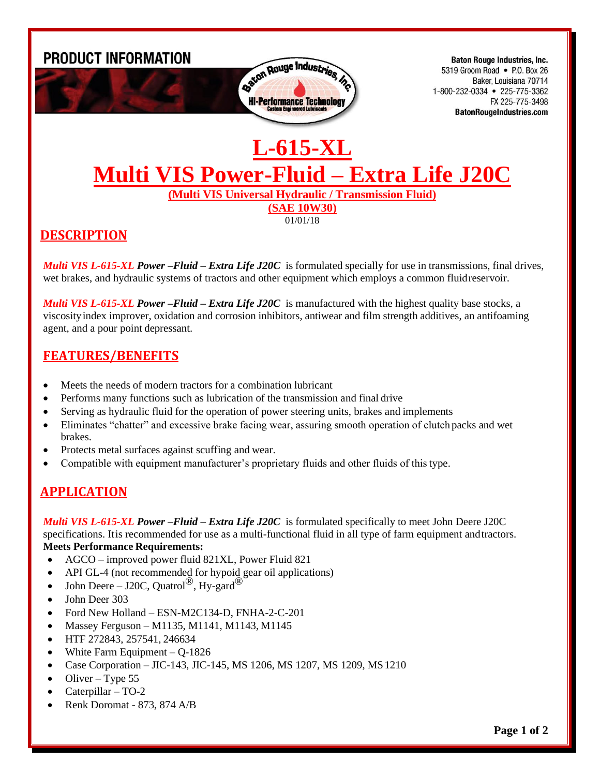

01/01/18

# **DESCRIPTION**

*Multi VIS L-615-XL Power –Fluid – Extra Life J20C* is formulated specially for use in transmissions, final drives, wet brakes, and hydraulic systems of tractors and other equipment which employs a common fluidreservoir.

*Multi VIS L-615-XL Power –Fluid – Extra Life J20C* is manufactured with the highest quality base stocks, a viscosityindex improver, oxidation and corrosion inhibitors, antiwear and film strength additives, an antifoaming agent, and a pour point depressant.

#### **FEATURES/BENEFITS**

- Meets the needs of modern tractors for a combination lubricant
- Performs many functions such as lubrication of the transmission and final drive
- Serving as hydraulic fluid for the operation of power steering units, brakes and implements
- Eliminates "chatter" and excessive brake facing wear, assuring smooth operation of clutch packs and wet brakes.
- Protects metal surfaces against scuffing and wear.
- Compatible with equipment manufacturer's proprietary fluids and other fluids of thistype.

## **APPLICATION**

*Multi VIS L-615-XL Power –Fluid – Extra Life J20C* is formulated specifically to meet John Deere J20C specifications. Itis recommended for use as a multi-functional fluid in all type of farm equipment andtractors. **Meets Performance Requirements:**

- AGCO improved power fluid 821XL, Power Fluid 821
- API GL-4 (not recommended for hypoid gear oil applications)
- John Deere J20C, Quatrol<sup>®</sup>, Hy-gard<sup>®</sup>
- John Deer 303
- Ford New Holland ESN-M2C134-D, FNHA-2-C-201
- Massey Ferguson M1135, M1141, M1143, M1145
- HTF 272843, 257541, 246634
- White Farm Equipment  $-$  Q-1826
- Case Corporation JIC-143, JIC-145, MS 1206, MS 1207, MS 1209, MS 1210
- Oliver Type 55
- Caterpillar TO-2
- Renk Doromat 873, 874 A/B